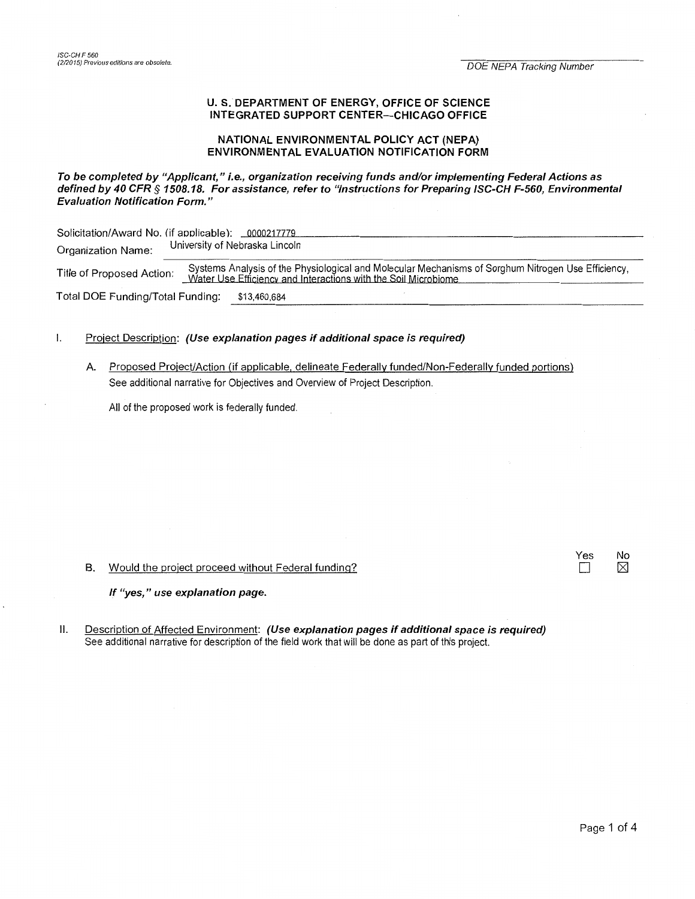#### U.S. DEPARTMENT OF ENERGY, OFFICE OF SCIENCE INTEGRATED SUPPORT CENTER-CHICAGO OFFICE

# NATIONAL ENVIRONMENTAL POLICY ACT (NEPA) ENVIRONMENTAL EVALUATION NOTIFICATION FORM

### To be completed by "Applicant," i.e., organization receiving funds and/or implementing Federal Actions as defined by 40 CFR § 1508.18. For assistance, refer to "Instructions for Preparing ISC-CH F-560, Environmental Evaluation Notification Form."

| Solicitation/Award No. (if applicable): 0000217779 |                                                                                                                                                                      |
|----------------------------------------------------|----------------------------------------------------------------------------------------------------------------------------------------------------------------------|
| Organization Name:                                 | University of Nebraska Lincoln                                                                                                                                       |
| Title of Proposed Action:                          | Systems Analysis of the Physiological and Molecular Mechanisms of Sorghum Nitrogen Use Efficiency,<br>Water Use Efficiency and Interactions with the Soil Microbiome |
| Total DOE Funding/Total Funding:                   | \$13.460.684                                                                                                                                                         |

# 1. Project Description: (Use explanation pages if additional space is required)

A Proposed Project/Action (if applicable, delineate Federally funded/Non-Federally funded portions) See additional narrative for Objectives and Overview of Project Description.

All of the proposed work is federally funded.

### B. Would the project proceed without Federal funding?

If "yes," use explanation page.

II. Description of Affected Environment: (Use explanation pages if additional space is required) See additional narrative for description of the field work that will be done as part of this project.

Yes No  $\Box$   $\boxtimes$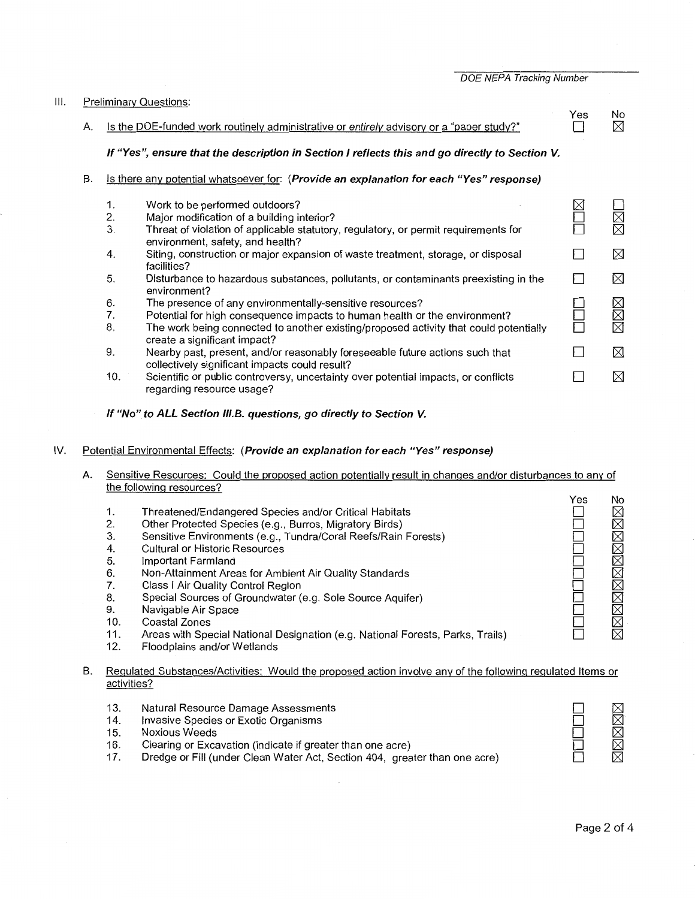DOE NEPA Tracking Number

| Ⅲ. |    |                                                                                         | <b>Preliminary Questions:</b>                                                                                                  |                |         |  |
|----|----|-----------------------------------------------------------------------------------------|--------------------------------------------------------------------------------------------------------------------------------|----------------|---------|--|
|    | А. |                                                                                         | Is the DOE-funded work routinely administrative or entirely advisory or a "paper study?"                                       | Yes            | No<br>⊠ |  |
|    |    |                                                                                         | If "Yes", ensure that the description in Section I reflects this and go directly to Section V.                                 |                |         |  |
|    | В. | Is there any potential whatsoever for: (Provide an explanation for each "Yes" response) |                                                                                                                                |                |         |  |
|    |    | 1.                                                                                      | Work to be performed outdoors?                                                                                                 |                |         |  |
|    |    | 2.                                                                                      | Major modification of a building interior?                                                                                     |                |         |  |
|    |    | 3.                                                                                      | Threat of violation of applicable statutory, regulatory, or permit requirements for<br>environment, safety, and health?        |                |         |  |
|    |    | 4.                                                                                      | Siting, construction or major expansion of waste treatment, storage, or disposal<br>facilities?                                |                | ⊠       |  |
|    |    | 5.                                                                                      | Disturbance to hazardous substances, pollutants, or contaminants preexisting in the<br>environment?                            |                | ⊠       |  |
|    |    | 6.                                                                                      | The presence of any environmentally-sensitive resources?                                                                       |                |         |  |
|    |    | 7.                                                                                      | Potential for high consequence impacts to human health or the environment?                                                     |                | I⊠⊠     |  |
|    |    | 8.                                                                                      | The work being connected to another existing/proposed activity that could potentially<br>create a significant impact?          |                | ⊠       |  |
|    |    | 9.                                                                                      | Nearby past, present, and/or reasonably foreseeable future actions such that<br>collectively significant impacts could result? | $\blacksquare$ | ⊠       |  |
|    |    | 10.                                                                                     | Scientific or public controversy, uncertainty over potential impacts, or conflicts<br>regarding resource usage?                |                | ⊠       |  |

## **If "No" to ALL Section 11/.B. questions, go directly to Section V.**

# IV. Potential Environmental Effects: **(Provide an explanation for each "Yes" response)**

A. Sensitive Resources: Could the proposed action potentially result in changes and/or disturbances to any of the following resources?

|     |                                                                                | Yes | Nc          |
|-----|--------------------------------------------------------------------------------|-----|-------------|
| 1.  | Threatened/Endangered Species and/or Critical Habitats                         |     | KRA         |
| 2.  | Other Protected Species (e.g., Burros, Migratory Birds)                        |     |             |
| 3.  | Sensitive Environments (e.g., Tundra/Coral Reefs/Rain Forests)                 |     |             |
| 4.  | <b>Cultural or Historic Resources</b>                                          |     | $\boxtimes$ |
| 5.  | Important Farmland                                                             |     |             |
| 6.  | Non-Attainment Areas for Ambient Air Quality Standards                         |     | xxxxxxxx    |
|     | Class I Air Quality Control Region                                             |     |             |
| 8.  | Special Sources of Groundwater (e.g. Sole Source Aquifer)                      |     |             |
| 9.  | Navigable Air Space                                                            |     |             |
| 10. | Coastal Zones                                                                  |     |             |
| 11. | Areas with Special National Designation (e.g. National Forests, Parks, Trails) |     |             |
| 12. | Floodplains and/or Wetlands                                                    |     |             |
|     |                                                                                |     |             |

# B. Regulated Substances/Activities: Would the proposed action involve any of the following regulated Items or activities?

- 13. Natural Resource Damage Assessments
- 14. Invasive Species or Exotic Organisms
- 15. Noxious Weeds
- 16. Clearing or Excavation (indicate if greater than one acre)
- 17. Dredge or Fill (under Clean Water Act, Section 404, greater than one acre)

XXXXX

D  $\square$  $\square$  $\Box$  $\Box$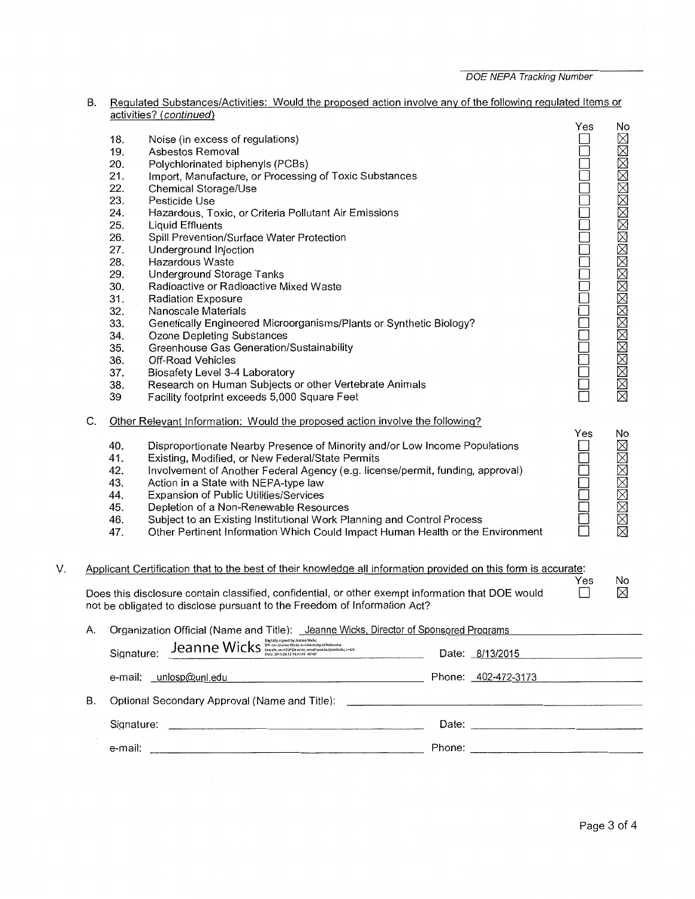| B. Regulated Substances/Activities: Would the proposed action involve any of the following regulated Items or |  |  |
|---------------------------------------------------------------------------------------------------------------|--|--|
| activities? (continued)                                                                                       |  |  |

|    | C. | 18.<br>19.<br>20.<br>21.<br>22.<br>23.<br>24.<br>25.<br>26.<br>27.<br>28.<br>29.<br>30.<br>31.<br>32.<br>33.<br>34.<br>35.<br>36.<br>37.<br>38.<br>39<br>40. | $\frac{1}{2}$<br>Noise (in excess of regulations)<br>Asbestos Removal<br>Polychlorinated biphenyls (PCBs)<br>Import, Manufacture, or Processing of Toxic Substances<br><b>Chemical Storage/Use</b><br>Pesticide Use<br>Hazardous, Toxic, or Criteria Pollutant Air Emissions<br><b>Liquid Effluents</b><br>Spill Prevention/Surface Water Protection<br>Underground Injection<br>Hazardous Waste<br>Underground Storage Tanks<br>Radioactive or Radioactive Mixed Waste<br><b>Radiation Exposure</b><br>Nanoscale Materials<br>Genetically Engineered Microorganisms/Plants or Synthetic Biology?<br><b>Ozone Depleting Substances</b><br>Greenhouse Gas Generation/Sustainability<br>Off-Road Vehicles<br>Biosafety Level 3-4 Laboratory<br>Research on Human Subjects or other Vertebrate Animals<br>Facility footprint exceeds 5,000 Square Feet<br>Other Relevant Information: Would the proposed action involve the following?<br>Disproportionate Nearby Presence of Minority and/or Low Income Populations | Yes<br>Yes | No<br>凶凶凶凶凶凶凶凶凶凶凶凶凶凶凶凶凶凶凶凶<br>No |
|----|----|--------------------------------------------------------------------------------------------------------------------------------------------------------------|-------------------------------------------------------------------------------------------------------------------------------------------------------------------------------------------------------------------------------------------------------------------------------------------------------------------------------------------------------------------------------------------------------------------------------------------------------------------------------------------------------------------------------------------------------------------------------------------------------------------------------------------------------------------------------------------------------------------------------------------------------------------------------------------------------------------------------------------------------------------------------------------------------------------------------------------------------------------------------------------------------------------|------------|----------------------------------|
|    |    | 41.<br>42.                                                                                                                                                   | Existing, Modified, or New Federal/State Permits<br>Involvement of Another Federal Agency (e.g. license/permit, funding, approval)                                                                                                                                                                                                                                                                                                                                                                                                                                                                                                                                                                                                                                                                                                                                                                                                                                                                                |            | XXXXXXXXX                        |
|    |    | 43.                                                                                                                                                          | Action in a State with NEPA-type law                                                                                                                                                                                                                                                                                                                                                                                                                                                                                                                                                                                                                                                                                                                                                                                                                                                                                                                                                                              |            |                                  |
|    |    | 44.<br>45.                                                                                                                                                   | Expansion of Public Utilities/Services<br>Depletion of a Non-Renewable Resources                                                                                                                                                                                                                                                                                                                                                                                                                                                                                                                                                                                                                                                                                                                                                                                                                                                                                                                                  |            |                                  |
|    |    | 46.                                                                                                                                                          | Subject to an Existing Institutional Work Planning and Control Process                                                                                                                                                                                                                                                                                                                                                                                                                                                                                                                                                                                                                                                                                                                                                                                                                                                                                                                                            |            |                                  |
|    |    | 47.                                                                                                                                                          | Other Pertinent Information Which Could Impact Human Health or the Environment                                                                                                                                                                                                                                                                                                                                                                                                                                                                                                                                                                                                                                                                                                                                                                                                                                                                                                                                    |            |                                  |
| V. |    |                                                                                                                                                              | Applicant Certification that to the best of their knowledge all information provided on this form is accurate:                                                                                                                                                                                                                                                                                                                                                                                                                                                                                                                                                                                                                                                                                                                                                                                                                                                                                                    | Yes        | No                               |
|    |    |                                                                                                                                                              | Does this disclosure contain classified, confidential, or other exempt information that DOE would<br>not be obligated to disclose pursuant to the Freedom of Information Act?                                                                                                                                                                                                                                                                                                                                                                                                                                                                                                                                                                                                                                                                                                                                                                                                                                     |            | $\boxtimes$                      |
|    | А. |                                                                                                                                                              | Organization Official (Name and Title): Jeanne Wicks, Director of Sponsored Programs                                                                                                                                                                                                                                                                                                                                                                                                                                                                                                                                                                                                                                                                                                                                                                                                                                                                                                                              |            |                                  |
|    |    | Signature:                                                                                                                                                   | $Jean me Wicks10g10g10gu20huuuuuuuuuuuuuuuuuuuuuuuu$<br>Date: 8/13/2015                                                                                                                                                                                                                                                                                                                                                                                                                                                                                                                                                                                                                                                                                                                                                                                                                                                                                                                                           |            |                                  |
|    |    |                                                                                                                                                              | Phone: 402-472-3173<br>e-mail: unlosp@unl.edu                                                                                                                                                                                                                                                                                                                                                                                                                                                                                                                                                                                                                                                                                                                                                                                                                                                                                                                                                                     |            |                                  |
|    | Β. |                                                                                                                                                              |                                                                                                                                                                                                                                                                                                                                                                                                                                                                                                                                                                                                                                                                                                                                                                                                                                                                                                                                                                                                                   |            |                                  |
|    |    |                                                                                                                                                              |                                                                                                                                                                                                                                                                                                                                                                                                                                                                                                                                                                                                                                                                                                                                                                                                                                                                                                                                                                                                                   |            |                                  |
|    |    |                                                                                                                                                              |                                                                                                                                                                                                                                                                                                                                                                                                                                                                                                                                                                                                                                                                                                                                                                                                                                                                                                                                                                                                                   |            |                                  |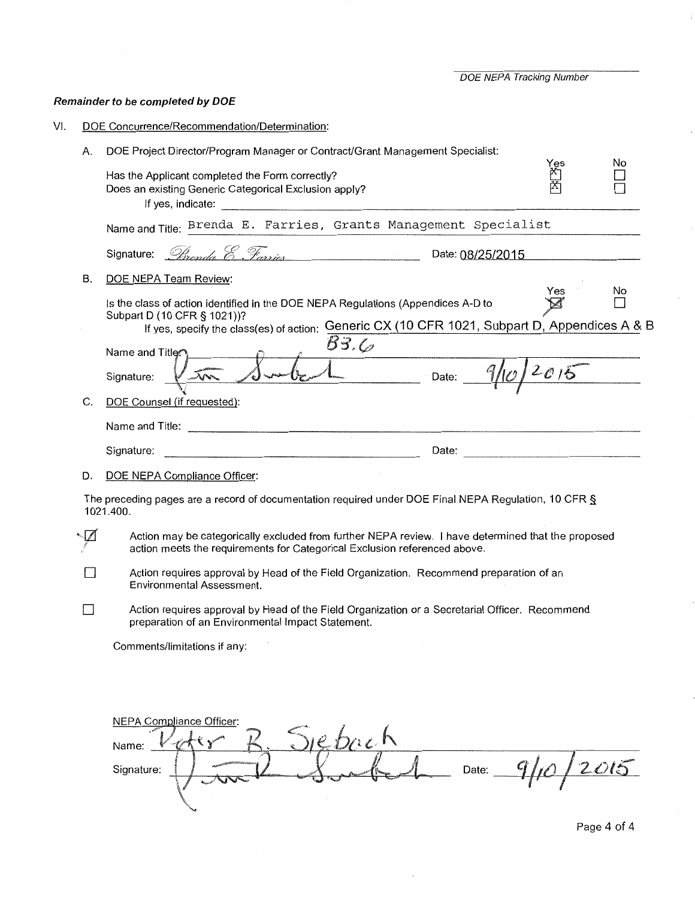DOE NEPA Tracking Number

# **Remainder to be completed by DOE**

|     | DOE Project Director/Program Manager or Contract/Grant Management Specialist:<br>Has the Applicant completed the Form correctly?                                                                                                             | Yes<br>首 | No  |
|-----|----------------------------------------------------------------------------------------------------------------------------------------------------------------------------------------------------------------------------------------------|----------|-----|
|     | Does an existing Generic Categorical Exclusion apply?                                                                                                                                                                                        |          |     |
|     | Name and Title: Brenda E. Farries, Grants Management Specialist                                                                                                                                                                              |          |     |
|     | Signature: <i>Direnda &amp; Farries</i> Date: 08/25/2015                                                                                                                                                                                     |          |     |
| В.  | DOE NEPA Team Review:                                                                                                                                                                                                                        |          |     |
|     | Is the class of action identified in the DOE NEPA Regulations (Appendices A-D to                                                                                                                                                             | Yes      | No. |
|     | Subpart D (10 CFR § 1021))?<br>If yes, specify the class(es) of action: Generic CX (10 CFR 1021, Subpart D, Appendices A & B                                                                                                                 |          |     |
|     | B3.C<br>Name and Title <sup>2</sup>                                                                                                                                                                                                          |          |     |
|     | $10002 - 9/10/2015$<br>$V = \sqrt{V}$<br>Signature:                                                                                                                                                                                          |          |     |
| C.  | DOE Counsel (if requested):                                                                                                                                                                                                                  |          |     |
|     |                                                                                                                                                                                                                                              |          |     |
|     | Date: experience and the second contract of the second contract of the second contract of the second contract of the second contract of the second contract of the second contract of the second contract of the second contra<br>Signature: |          |     |
| D.  |                                                                                                                                                                                                                                              |          |     |
|     |                                                                                                                                                                                                                                              |          |     |
|     | DOE NEPA Compliance Officer:<br>The preceding pages are a record of documentation required under DOE Final NEPA Regulation, 10 CFR §<br>1021.400.                                                                                            |          |     |
|     | Action may be categorically excluded from further NEPA review. I have determined that the proposed<br>action meets the requirements for Categorical Exclusion referenced above.                                                              |          |     |
|     | Action requires approval by Head of the Field Organization. Recommend preparation of an<br>Environmental Assessment.                                                                                                                         |          |     |
| - 1 | Action requires approval by Head of the Field Organization or a Secretarial Officer. Recommend<br>preparation of an Environmental Impact Statement.                                                                                          |          |     |
|     | Comments/limitations if any:                                                                                                                                                                                                                 |          |     |
|     |                                                                                                                                                                                                                                              |          |     |
|     |                                                                                                                                                                                                                                              |          |     |
|     |                                                                                                                                                                                                                                              |          |     |
|     | NEPA Compliance Officer:<br>Diebach<br>Name:                                                                                                                                                                                                 |          |     |

Page 4 of 4